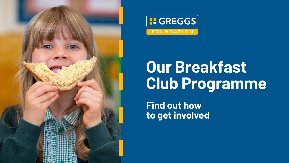



# **Our Breakfast Club Programme**

**Find out how to get involved**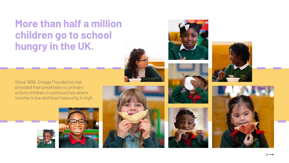### More than half a million children go to school hungry in the UK.

Since 1999, Greggs Foundation has provided free breakfasts to primary school children in communities where income is low and food insecurity is high.















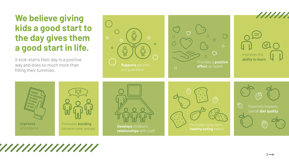



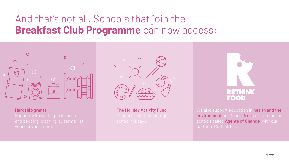#### **Hardship grants**

Support with white goods, beds and bedding, clothing, supermarket vouchers and more.



 **The Holiday Activity Fund**



We also support education in **health and the environment** and fund a **free** programme for schools called **Agents of Change,** with our partners Rethink Food.



### And that's not all. Schools that join the **Breakfast Club Programme** can now access:

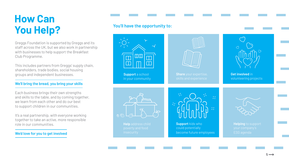

## **How Can You Help?**

Greggs Foundation is supported by Greggs and its staff across the UK, but we also work in partnership with businesses to help support the Breakfast Club Programme.

This includes partners from Greggs' supply chain, shareholders, trade bodies, social housing groups and independent businesses.

It's a real partnership, with everyone working together to take an active, more responsible role in our communities.

#### **We'll bring the bread, you bring your skills**

 **Share** your expertise, skills and experience



Each business brings their own strengths and skills to the table, and by coming together, we learn from each other and do our best to support children in our communities.

#### **We'd love for you to get involved**

 **Support** a school in your community



**Get involved** in volunteering projects



 **Help** address child



 **Support** kids who could potentially become future employees



 **Helping** to support your company's ESG agenda

### **You'll have the opportunity to:**